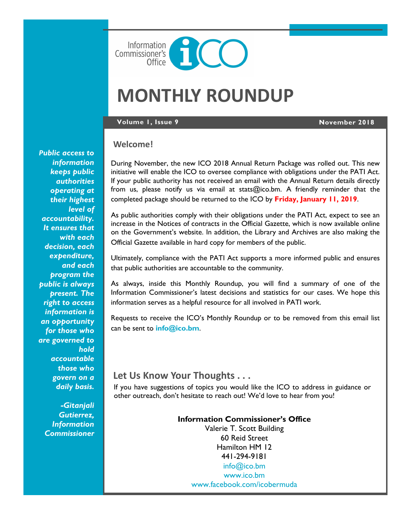

# **MONTHLY ROUNDUP**

### **Volume 1, Issue 9 November 2018**

# **Welcome!**

During November, the new ICO 2018 Annual Return Package was rolled out. This new initiative will enable the ICO to oversee compliance with obligations under the PATI Act. If your public authority has not received an email with the Annual Return details directly from us, please notify us via email at stats@ico.bm. A friendly reminder that the completed package should be returned to the ICO by **Friday, January 11, 2019**.

As public authorities comply with their obligations under the PATI Act, expect to see an increase in the Notices of contracts in the Official Gazette, which is now available online on the Government's website. In addition, the Library and Archives are also making the Official Gazette available in hard copy for members of the public.

Ultimately, compliance with the PATI Act supports a more informed public and ensures that public authorities are accountable to the community.

As always, inside this Monthly Roundup, you will find a summary of one of the Information Commissioner's latest decisions and statistics for our cases. We hope this information serves as a helpful resource for all involved in PATI work.

Requests to receive the ICO's Monthly Roundup or to be removed from this email list can be sent to **[info@ico.bm](mailto:info@ico.bm)**.

# **Let Us Know Your Thoughts . . .**

If you have suggestions of topics you would like the ICO to address in guidance or other outreach, don't hesitate to reach out! We'd love to hear from you!

### **Information Commissioner's Office**

Valerie T. Scott Building 60 Reid Street Hamilton HM 12 441-294-9181 [info@ico.bm](mailto:info@ico.bm) [www.ico.bm](http://www.ico.bm) [www.facebook.com/icobermuda](http://www.facebook.com/icobermuda/ICOFS01S/Folder-Redirection$/gsgutierrez/Documents/Admin)

*Public access to information keeps public authorities operating at their highest level of accountability. It ensures that with each decision, each expenditure, and each program the public is always present. The right to access information is an opportunity for those who are governed to hold accountable those who govern on a daily basis.*

> *-Gitanjali Gutierrez, Information Commissioner*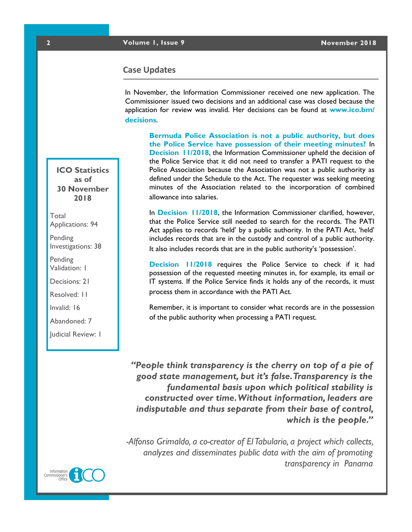# **Case Updates**

In November, the Information Commissioner received one new application. The Commissioner issued two decisions and an additional case was closed because the application for review was invalid. Her decisions can be found at **[www.ico.bm/](http://www.ico.bm/decisions) [decisions](http://www.ico.bm/decisions)**.

**Bermuda Police Association is not a public authority, but does the Police Service have possession of their meeting minutes?** In **[Decision 11/2018](https://docs.wixstatic.com/ugd/5803dc_1e34d4c10fa3463fa014a6a12720f431.pdf)**, the Information Commissioner upheld the decision of the Police Service that it did not need to transfer a PATI request to the Police Association because the Association was not a public authority as defined under the Schedule to the Act. The requester was seeking meeting minutes of the Association related to the incorporation of combined allowance into salaries.

In **[Decision 11/2018](https://docs.wixstatic.com/ugd/5803dc_1e34d4c10fa3463fa014a6a12720f431.pdf)**, the Information Commissioner clarified, however, that the Police Service still needed to search for the records. The PATI Act applies to records 'held' by a public authority. In the PATI Act, 'held' includes records that are in the custody and control of a public authority. It also includes records that are in the public authority's 'possession'.

**[Decision 11/2018](https://docs.wixstatic.com/ugd/5803dc_1e34d4c10fa3463fa014a6a12720f431.pdf)** requires the Police Service to check if it had possession of the requested meeting minutes in, for example, its email or IT systems. If the Police Service finds it holds any of the records, it must process them in accordance with the PATI Act.

Remember, it is important to consider what records are in the possession of the public authority when processing a PATI request.

*"People think transparency is the cherry on top of a pie of good state management, but it's false. Transparency is the fundamental basis upon which political stability is constructed over time. Without information, leaders are indisputable and thus separate from their base of control, which is the people."*

*-Alfonso Grimaldo, a co-creator of El Tabulario, a project which collects, analyzes and disseminates public data with the aim of promoting transparency in Panama*

**ICO Statistics as of 30 November 2018**

Total Applications: 94

Pending Investigations: 38

**Pending** Validation: 1

Decisions: 21

Resolved: 11

Invalid: 16

Abandoned: 7

Judicial Review: 1

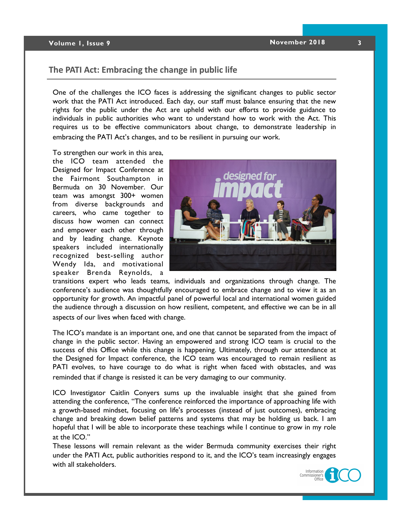## **Volume 1, Issue 9 1.1 <b>1.1 1.1 November 2018 3**

# **The PATI Act: Embracing the change in public life**

One of the challenges the ICO faces is addressing the significant changes to public sector work that the PATI Act introduced. Each day, our staff must balance ensuring that the new rights for the public under the Act are upheld with our efforts to provide guidance to individuals in public authorities who want to understand how to work with the Act. This requires us to be effective communicators about change, to demonstrate leadership in embracing the PATI Act's changes, and to be resilient in pursuing our work.

To strengthen our work in this area, the ICO team attended the Designed for Impact Conference at the Fairmont Southampton in Bermuda on 30 November. Our team was amongst 300+ women from diverse backgrounds and careers, who came together to discuss how women can connect and empower each other through and by leading change. Keynote speakers included internationally recognized best-selling author Wendy Ida, and motivational speaker Brenda Reynolds, a



transitions expert who leads teams, individuals and organizations through change. The conference's audience was thoughtfully encouraged to embrace change and to view it as an opportunity for growth. An impactful panel of powerful local and international women guided the audience through a discussion on how resilient, competent, and effective we can be in all aspects of our lives when faced with change.

The ICO's mandate is an important one, and one that cannot be separated from the impact of change in the public sector. Having an empowered and strong ICO team is crucial to the success of this Office while this change is happening. Ultimately, through our attendance at the Designed for Impact conference, the ICO team was encouraged to remain resilient as PATI evolves, to have courage to do what is right when faced with obstacles, and was reminded that if change is resisted it can be very damaging to our community.

ICO Investigator Caitlin Conyers sums up the invaluable insight that she gained from attending the conference, "The conference reinforced the importance of approaching life with a growth-based mindset, focusing on life's processes (instead of just outcomes), embracing change and breaking down belief patterns and systems that may be holding us back. I am hopeful that I will be able to incorporate these teachings while I continue to grow in my role at the ICO."

These lessons will remain relevant as the wider Bermuda community exercises their right under the PATI Act, public authorities respond to it, and the ICO's team increasingly engages with all stakeholders.